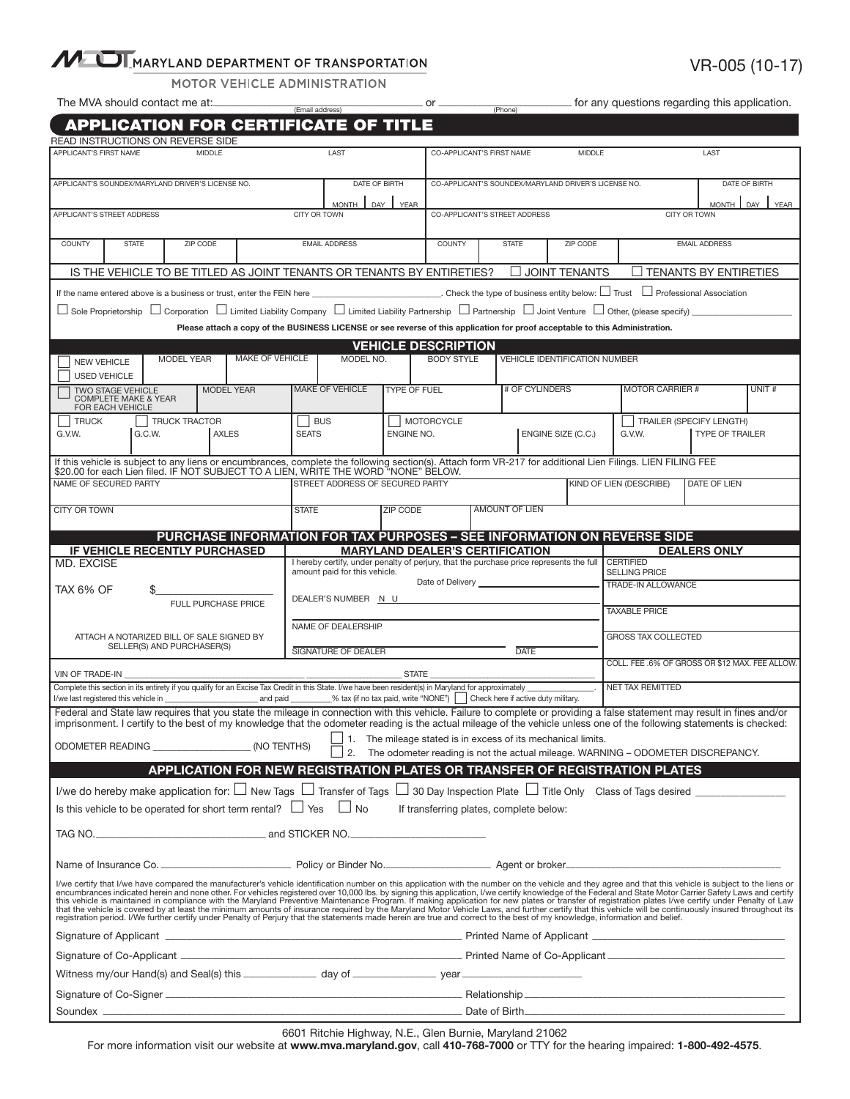## MULTIMARYLAND DEPARTMENT OF TRANSPORTATION

| VR-005 (10-17) |
|----------------|
|----------------|

MOTOR VEHICLE ADMINISTRATION

The MVA should contact me at:\_\_\_\_\_\_\_\_\_\_\_\_\_\_\_\_\_\_\_\_\_\_\_\_\_\_\_\_\_\_\_\_\_\_\_\_\_\_\_\_\_ or \_\_\_\_\_\_\_\_\_\_\_\_\_\_\_\_\_\_\_\_\_\_\_\_\_\_ for any questions regarding this application. (Email address) (Phone)

| <b>APPLICATION FOR CERTIFICATE OF TITLE</b>                                                                                                                                                                                                                                                                                                                                             |                                                                            |                      |                     |                 |                                                          |                                                                                                                |                     |                                                      |                                                                                         |                |                                               |                                                |                                                                                                                                                                                                                                    |                        |       |
|-----------------------------------------------------------------------------------------------------------------------------------------------------------------------------------------------------------------------------------------------------------------------------------------------------------------------------------------------------------------------------------------|----------------------------------------------------------------------------|----------------------|---------------------|-----------------|----------------------------------------------------------|----------------------------------------------------------------------------------------------------------------|---------------------|------------------------------------------------------|-----------------------------------------------------------------------------------------|----------------|-----------------------------------------------|------------------------------------------------|------------------------------------------------------------------------------------------------------------------------------------------------------------------------------------------------------------------------------------|------------------------|-------|
| READ INSTRUCTIONS ON REVERSE SIDE<br>APPLICANT'S FIRST NAME<br>MIDDLE                                                                                                                                                                                                                                                                                                                   |                                                                            |                      |                     |                 |                                                          | LAST                                                                                                           |                     |                                                      | CO-APPLICANT'S FIRST NAME<br><b>MIDDLE</b>                                              |                |                                               | LAST                                           |                                                                                                                                                                                                                                    |                        |       |
|                                                                                                                                                                                                                                                                                                                                                                                         |                                                                            |                      |                     |                 |                                                          |                                                                                                                |                     |                                                      |                                                                                         |                |                                               |                                                |                                                                                                                                                                                                                                    |                        |       |
| APPLICANT'S SOUNDEX/MARYLAND DRIVER'S LICENSE NO.                                                                                                                                                                                                                                                                                                                                       |                                                                            |                      |                     |                 | DATE OF BIRTH                                            |                                                                                                                |                     | CO-APPLICANT'S SOUNDEX/MARYLAND DRIVER'S LICENSE NO. |                                                                                         |                | DATE OF BIRTH                                 |                                                |                                                                                                                                                                                                                                    |                        |       |
| APPLICANT'S STREET ADDRESS                                                                                                                                                                                                                                                                                                                                                              |                                                                            |                      |                     |                 | MONTH <sub>I</sub><br>DAY<br><b>YEAR</b><br>CITY OR TOWN |                                                                                                                |                     | CO-APPLICANT'S STREET ADDRESS                        |                                                                                         |                | <b>YEAR</b><br>MONTH  <br>DAY<br>CITY OR TOWN |                                                |                                                                                                                                                                                                                                    |                        |       |
|                                                                                                                                                                                                                                                                                                                                                                                         |                                                                            |                      |                     |                 | <b>EMAIL ADDRESS</b>                                     |                                                                                                                |                     | COUNTY<br><b>STATE</b><br>ZIP CODE                   |                                                                                         |                | <b>EMAIL ADDRESS</b>                          |                                                |                                                                                                                                                                                                                                    |                        |       |
| COUNTY<br><b>STATE</b><br>ZIP CODE                                                                                                                                                                                                                                                                                                                                                      |                                                                            |                      |                     |                 |                                                          |                                                                                                                |                     |                                                      |                                                                                         |                |                                               |                                                |                                                                                                                                                                                                                                    |                        |       |
| IS THE VEHICLE TO BE TITLED AS JOINT TENANTS OR TENANTS BY ENTIRETIES?<br>$\Box$ JOINT TENANTS<br>$\Box$ TENANTS BY ENTIRETIES                                                                                                                                                                                                                                                          |                                                                            |                      |                     |                 |                                                          |                                                                                                                |                     |                                                      |                                                                                         |                |                                               |                                                |                                                                                                                                                                                                                                    |                        |       |
| $\Box$ Trust $\Box$ Professional Association<br>If the name entered above is a business or trust, enter the FEIN here                                                                                                                                                                                                                                                                   |                                                                            |                      |                     |                 |                                                          |                                                                                                                |                     |                                                      |                                                                                         |                |                                               |                                                |                                                                                                                                                                                                                                    |                        |       |
| $\Box$ Sole Proprietorship $\Box$ Corporation $\Box$ Limited Liability Company $\Box$ Limited Liability Partnership $\Box$ Partnership $\Box$ Joint Venture $\Box$ Other, (please specify)<br>Please attach a copy of the BUSINESS LICENSE or see reverse of this application for proof acceptable to this Administration.                                                              |                                                                            |                      |                     |                 |                                                          |                                                                                                                |                     |                                                      |                                                                                         |                |                                               |                                                |                                                                                                                                                                                                                                    |                        |       |
|                                                                                                                                                                                                                                                                                                                                                                                         |                                                                            |                      |                     |                 |                                                          |                                                                                                                |                     | <b>VEHICLE DESCRIPTION</b>                           |                                                                                         |                |                                               |                                                |                                                                                                                                                                                                                                    |                        |       |
| <b>NEW VEHICLE</b>                                                                                                                                                                                                                                                                                                                                                                      |                                                                            | <b>MODEL YEAR</b>    |                     | MAKE OF VEHICLE |                                                          | MODEL NO.                                                                                                      |                     | <b>BODY STYLE</b>                                    |                                                                                         |                | <b>VEHICLE IDENTIFICATION NUMBER</b>          |                                                |                                                                                                                                                                                                                                    |                        |       |
| <b>USED VEHICLE</b>                                                                                                                                                                                                                                                                                                                                                                     | <b>TWO STAGE VEHICLE</b>                                                   |                      | <b>MODEL YEAR</b>   |                 |                                                          | <b>MAKE OF VEHICLE</b>                                                                                         | <b>TYPE OF FUEL</b> |                                                      |                                                                                         | # OF CYLINDERS |                                               |                                                | <b>MOTOR CARRIER #</b>                                                                                                                                                                                                             |                        | UNIT# |
|                                                                                                                                                                                                                                                                                                                                                                                         | <b>COMPLETE MAKE &amp; YEAR</b><br>FOR EACH VEHICLE                        |                      |                     |                 |                                                          |                                                                                                                |                     |                                                      |                                                                                         |                |                                               |                                                |                                                                                                                                                                                                                                    |                        |       |
| <b>TRUCK</b>                                                                                                                                                                                                                                                                                                                                                                            |                                                                            | <b>TRUCK TRACTOR</b> |                     |                 | BUS                                                      |                                                                                                                |                     | MOTORCYCLE                                           |                                                                                         |                |                                               |                                                | TRAILER (SPECIFY LENGTH)                                                                                                                                                                                                           |                        |       |
| G.V.W.                                                                                                                                                                                                                                                                                                                                                                                  | G.C.W.                                                                     |                      | <b>AXLES</b>        |                 | <b>SEATS</b>                                             |                                                                                                                | ENGINE NO.          |                                                      |                                                                                         |                | ENGINE SIZE (C.C.)                            |                                                | G.V.W.                                                                                                                                                                                                                             | <b>TYPE OF TRAILER</b> |       |
|                                                                                                                                                                                                                                                                                                                                                                                         |                                                                            |                      |                     |                 |                                                          |                                                                                                                |                     |                                                      |                                                                                         |                |                                               |                                                | If this vehicle is subject to any liens or encumbrances, complete the following section(s). Attach form VR-217 for additional Lien Filings. LIEN FILING FEE<br>\$20.00 for each Lien filed. IF NOT SUBJECT TO A LIEN, WRITE THE WO |                        |       |
|                                                                                                                                                                                                                                                                                                                                                                                         | NAME OF SECURED PARTY                                                      |                      |                     |                 |                                                          | STREET ADDRESS OF SECURED PARTY                                                                                |                     |                                                      |                                                                                         |                | <b>KIND OF LIEN (DESCRIBE)</b>                |                                                |                                                                                                                                                                                                                                    | <b>DATE OF LIEN</b>    |       |
| <b>CITY OR TOWN</b>                                                                                                                                                                                                                                                                                                                                                                     |                                                                            |                      |                     |                 | <b>STATE</b>                                             |                                                                                                                | ZIP CODE            |                                                      | <b>AMOUNT OF LIEN</b>                                                                   |                |                                               |                                                |                                                                                                                                                                                                                                    |                        |       |
|                                                                                                                                                                                                                                                                                                                                                                                         |                                                                            |                      |                     |                 |                                                          |                                                                                                                |                     |                                                      |                                                                                         |                |                                               |                                                | PURCHASE INFORMATION FOR TAX PURPOSES - SEE INFORMATION ON REVERSE SIDE                                                                                                                                                            |                        |       |
|                                                                                                                                                                                                                                                                                                                                                                                         | IF VEHICLE RECENTLY PURCHASED                                              |                      |                     |                 |                                                          |                                                                                                                |                     | <b>MARYLAND DEALER'S CERTIFICATION</b>               |                                                                                         |                |                                               |                                                |                                                                                                                                                                                                                                    | <b>DEALERS ONLY</b>    |       |
| <b>MD. EXCISE</b>                                                                                                                                                                                                                                                                                                                                                                       |                                                                            |                      |                     |                 | amount paid for this vehicle.                            |                                                                                                                |                     |                                                      | I hereby certify, under penalty of perjury, that the purchase price represents the full |                |                                               | <b>CERTIFIED</b><br><b>SELLING PRICE</b>       |                                                                                                                                                                                                                                    |                        |       |
| TAX 6% OF                                                                                                                                                                                                                                                                                                                                                                               | \$                                                                         |                      |                     |                 |                                                          |                                                                                                                |                     |                                                      |                                                                                         |                |                                               |                                                | TRADE-IN ALLOWANCE                                                                                                                                                                                                                 |                        |       |
|                                                                                                                                                                                                                                                                                                                                                                                         |                                                                            |                      | FULL PURCHASE PRICE |                 |                                                          | DEALER'S NUMBER N U                                                                                            |                     |                                                      |                                                                                         |                |                                               |                                                | <b>TAXABLE PRICE</b>                                                                                                                                                                                                               |                        |       |
| ATTACH A NOTARIZED BILL OF SALE SIGNED BY                                                                                                                                                                                                                                                                                                                                               |                                                                            |                      |                     |                 |                                                          | NAME OF DEALERSHIP                                                                                             |                     |                                                      |                                                                                         |                |                                               | <b>GROSS TAX COLLECTED</b>                     |                                                                                                                                                                                                                                    |                        |       |
|                                                                                                                                                                                                                                                                                                                                                                                         | SELLER(S) AND PURCHASER(S)                                                 |                      |                     |                 |                                                          | <b>SIGNATURE OF DEALER</b>                                                                                     |                     | <b>DATE</b>                                          |                                                                                         |                |                                               |                                                |                                                                                                                                                                                                                                    |                        |       |
| VIN OF TRADE-IN                                                                                                                                                                                                                                                                                                                                                                         |                                                                            |                      |                     |                 |                                                          |                                                                                                                | STATE               |                                                      |                                                                                         |                |                                               | COLL. FEE .6% OF GROSS OR \$12 MAX. FEE ALLOW. |                                                                                                                                                                                                                                    |                        |       |
| Complete this section in its entirety if you qualify for an Excise Tax Credit in this State. I/we have been resident(s) in Maryland for approximately<br>I/we last registered this vehicle in the state of the state of the state of the state of the state of the state of the state of the state of the state of the state of the state of the state of the state of the state of the |                                                                            |                      |                     |                 |                                                          |                                                                                                                |                     |                                                      |                                                                                         |                |                                               |                                                | NET TAX REMITTED                                                                                                                                                                                                                   |                        |       |
| Federal and State law requires that you state the mileage in connection with this vehicle. Failure to complete or providing a false statement may result in fines and/or<br>imprisonment. I certify to the best of my knowledge that the odometer reading is the actual mileage of the vehicle unless one of the following statements is checked:                                       |                                                                            |                      |                     |                 |                                                          |                                                                                                                |                     |                                                      |                                                                                         |                |                                               |                                                |                                                                                                                                                                                                                                    |                        |       |
| $\Box$ 1. The mileage stated is in excess of its mechanical limits.                                                                                                                                                                                                                                                                                                                     |                                                                            |                      |                     |                 |                                                          |                                                                                                                |                     |                                                      |                                                                                         |                |                                               |                                                |                                                                                                                                                                                                                                    |                        |       |
| (NO TENTHS)<br>2.<br>The odometer reading is not the actual mileage. WARNING - ODOMETER DISCREPANCY.<br>APPLICATION FOR NEW REGISTRATION PLATES OR TRANSFER OF REGISTRATION PLATES                                                                                                                                                                                                      |                                                                            |                      |                     |                 |                                                          |                                                                                                                |                     |                                                      |                                                                                         |                |                                               |                                                |                                                                                                                                                                                                                                    |                        |       |
|                                                                                                                                                                                                                                                                                                                                                                                         |                                                                            |                      |                     |                 |                                                          |                                                                                                                |                     |                                                      |                                                                                         |                |                                               |                                                |                                                                                                                                                                                                                                    |                        |       |
|                                                                                                                                                                                                                                                                                                                                                                                         | Is this vehicle to be operated for short term rental? $\Box$ Yes $\Box$ No |                      |                     |                 |                                                          |                                                                                                                |                     | If transferring plates, complete below:              |                                                                                         |                |                                               |                                                | I/we do hereby make application for: $\Box$ New Tags $\Box$ Transfer of Tags $\Box$ 30 Day Inspection Plate $\Box$ Title Only Class of Tags desired $\Box$                                                                         |                        |       |
|                                                                                                                                                                                                                                                                                                                                                                                         |                                                                            |                      |                     |                 |                                                          |                                                                                                                |                     |                                                      |                                                                                         |                |                                               |                                                |                                                                                                                                                                                                                                    |                        |       |
|                                                                                                                                                                                                                                                                                                                                                                                         |                                                                            |                      |                     |                 |                                                          |                                                                                                                |                     |                                                      |                                                                                         |                |                                               |                                                |                                                                                                                                                                                                                                    |                        |       |
|                                                                                                                                                                                                                                                                                                                                                                                         |                                                                            |                      |                     |                 |                                                          |                                                                                                                |                     |                                                      |                                                                                         |                |                                               |                                                |                                                                                                                                                                                                                                    |                        |       |
| I/we certify that I/we have compared the manufacturer's vehicle identification number on this application with the number on the vehicle and they agree and that this vehicle is subject to the liens or encumbrances indicate                                                                                                                                                          |                                                                            |                      |                     |                 |                                                          |                                                                                                                |                     |                                                      |                                                                                         |                |                                               |                                                |                                                                                                                                                                                                                                    |                        |       |
|                                                                                                                                                                                                                                                                                                                                                                                         |                                                                            |                      |                     |                 |                                                          |                                                                                                                |                     |                                                      |                                                                                         |                |                                               |                                                |                                                                                                                                                                                                                                    |                        |       |
|                                                                                                                                                                                                                                                                                                                                                                                         |                                                                            |                      |                     |                 |                                                          |                                                                                                                |                     |                                                      |                                                                                         |                |                                               |                                                |                                                                                                                                                                                                                                    |                        |       |
|                                                                                                                                                                                                                                                                                                                                                                                         |                                                                            |                      |                     |                 |                                                          | Witness my/our Hand(s) and Seal(s) this _______________ day of _________________ year ________________________ |                     |                                                      |                                                                                         |                |                                               |                                                |                                                                                                                                                                                                                                    |                        |       |
|                                                                                                                                                                                                                                                                                                                                                                                         |                                                                            |                      |                     |                 |                                                          |                                                                                                                |                     |                                                      |                                                                                         |                |                                               |                                                |                                                                                                                                                                                                                                    |                        |       |
|                                                                                                                                                                                                                                                                                                                                                                                         |                                                                            |                      |                     |                 |                                                          |                                                                                                                |                     |                                                      |                                                                                         |                |                                               |                                                |                                                                                                                                                                                                                                    |                        |       |

6601 Ritchie Highway, N.E., Glen Burnie, Maryland 21062

For more information visit our website at www.mva.maryland.gov, call 410-768-7000 or TTY for the hearing impaired: 1-800-492-4575.